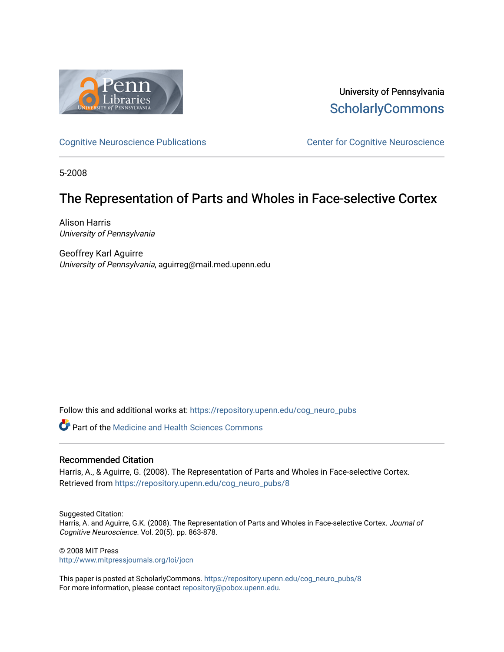

University of Pennsylvania **ScholarlyCommons** 

[Cognitive Neuroscience Publications](https://repository.upenn.edu/cog_neuro_pubs) **CENTE:** Center for Cognitive Neuroscience

5-2008

# The Representation of Parts and Wholes in Face-selective Cortex

Alison Harris University of Pennsylvania

Geoffrey Karl Aguirre University of Pennsylvania, aguirreg@mail.med.upenn.edu

Follow this and additional works at: [https://repository.upenn.edu/cog\\_neuro\\_pubs](https://repository.upenn.edu/cog_neuro_pubs?utm_source=repository.upenn.edu%2Fcog_neuro_pubs%2F8&utm_medium=PDF&utm_campaign=PDFCoverPages)

Part of the [Medicine and Health Sciences Commons](http://network.bepress.com/hgg/discipline/648?utm_source=repository.upenn.edu%2Fcog_neuro_pubs%2F8&utm_medium=PDF&utm_campaign=PDFCoverPages) 

# Recommended Citation

Harris, A., & Aguirre, G. (2008). The Representation of Parts and Wholes in Face-selective Cortex. Retrieved from [https://repository.upenn.edu/cog\\_neuro\\_pubs/8](https://repository.upenn.edu/cog_neuro_pubs/8?utm_source=repository.upenn.edu%2Fcog_neuro_pubs%2F8&utm_medium=PDF&utm_campaign=PDFCoverPages) 

Suggested Citation: Harris, A. and Aguirre, G.K. (2008). The Representation of Parts and Wholes in Face-selective Cortex. Journal of Cognitive Neuroscience. Vol. 20(5). pp. 863-878.

© 2008 MIT Press <http://www.mitpressjournals.org/loi/jocn>

This paper is posted at ScholarlyCommons. [https://repository.upenn.edu/cog\\_neuro\\_pubs/8](https://repository.upenn.edu/cog_neuro_pubs/8) For more information, please contact [repository@pobox.upenn.edu.](mailto:repository@pobox.upenn.edu)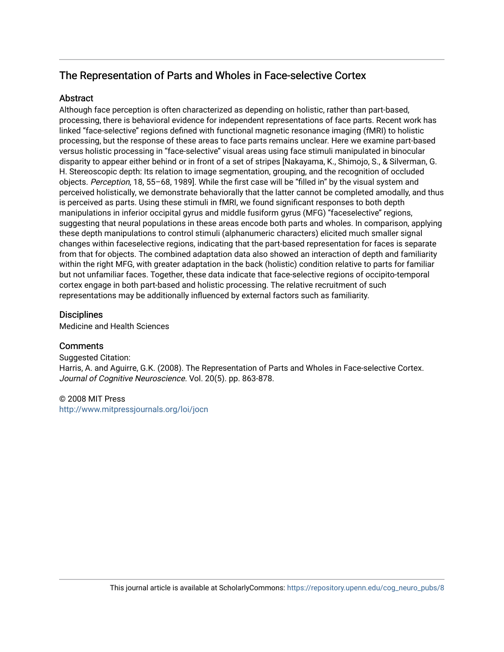# The Representation of Parts and Wholes in Face-selective Cortex

# **Abstract**

Although face perception is often characterized as depending on holistic, rather than part-based, processing, there is behavioral evidence for independent representations of face parts. Recent work has linked ''face-selective'' regions defined with functional magnetic resonance imaging (fMRI) to holistic processing, but the response of these areas to face parts remains unclear. Here we examine part-based versus holistic processing in ''face-selective'' visual areas using face stimuli manipulated in binocular disparity to appear either behind or in front of a set of stripes [Nakayama, K., Shimojo, S., & Silverman, G. H. Stereoscopic depth: Its relation to image segmentation, grouping, and the recognition of occluded objects. Perception, 18, 55–68, 1989]. While the first case will be ''filled in'' by the visual system and perceived holistically, we demonstrate behaviorally that the latter cannot be completed amodally, and thus is perceived as parts. Using these stimuli in fMRI, we found significant responses to both depth manipulations in inferior occipital gyrus and middle fusiform gyrus (MFG) ''faceselective'' regions, suggesting that neural populations in these areas encode both parts and wholes. In comparison, applying these depth manipulations to control stimuli (alphanumeric characters) elicited much smaller signal changes within faceselective regions, indicating that the part-based representation for faces is separate from that for objects. The combined adaptation data also showed an interaction of depth and familiarity within the right MFG, with greater adaptation in the back (holistic) condition relative to parts for familiar but not unfamiliar faces. Together, these data indicate that face-selective regions of occipito-temporal cortex engage in both part-based and holistic processing. The relative recruitment of such representations may be additionally influenced by external factors such as familiarity.

# **Disciplines**

Medicine and Health Sciences

# **Comments**

Suggested Citation: Harris, A. and Aguirre, G.K. (2008). The Representation of Parts and Wholes in Face-selective Cortex. Journal of Cognitive Neuroscience. Vol. 20(5). pp. 863-878.

© 2008 MIT Press <http://www.mitpressjournals.org/loi/jocn>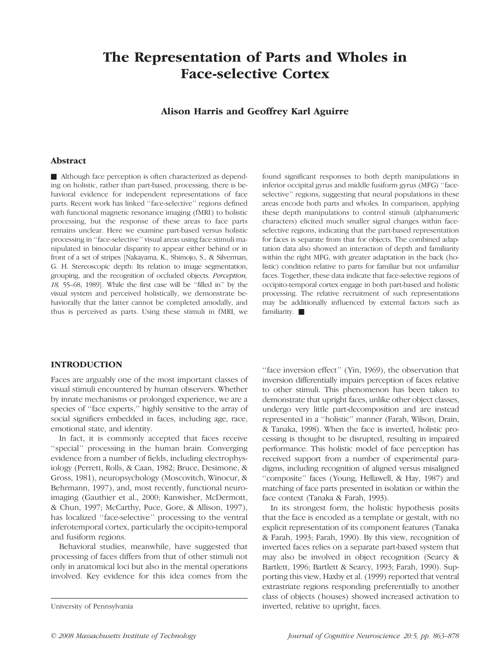# The Representation of Parts and Wholes in Face-selective Cortex

# Alison Harris and Geoffrey Karl Aguirre

#### Abstract

Although face perception is often characterized as depending on holistic, rather than part-based, processing, there is behavioral evidence for independent representations of face parts. Recent work has linked ''face-selective'' regions defined with functional magnetic resonance imaging (fMRI) to holistic processing, but the response of these areas to face parts remains unclear. Here we examine part-based versus holistic processing in ''face-selective'' visual areas using face stimuli manipulated in binocular disparity to appear either behind or in front of a set of stripes [Nakayama, K., Shimojo, S., & Silverman, G. H. Stereoscopic depth: Its relation to image segmentation, grouping, and the recognition of occluded objects. Perception, 18, 55–68, 1989]. While the first case will be ''filled in'' by the visual system and perceived holistically, we demonstrate behaviorally that the latter cannot be completed amodally, and thus is perceived as parts. Using these stimuli in fMRI, we found significant responses to both depth manipulations in inferior occipital gyrus and middle fusiform gyrus (MFG) ''faceselective'' regions, suggesting that neural populations in these areas encode both parts and wholes. In comparison, applying these depth manipulations to control stimuli (alphanumeric characters) elicited much smaller signal changes within faceselective regions, indicating that the part-based representation for faces is separate from that for objects. The combined adaptation data also showed an interaction of depth and familiarity within the right MFG, with greater adaptation in the back (holistic) condition relative to parts for familiar but not unfamiliar faces. Together, these data indicate that face-selective regions of occipito-temporal cortex engage in both part-based and holistic processing. The relative recruitment of such representations may be additionally influenced by external factors such as familiarity.  $\blacksquare$ 

#### INTRODUCTION

Faces are arguably one of the most important classes of visual stimuli encountered by human observers. Whether by innate mechanisms or prolonged experience, we are a species of ''face experts,'' highly sensitive to the array of social signifiers embedded in faces, including age, race, emotional state, and identity.

In fact, it is commonly accepted that faces receive ''special'' processing in the human brain. Converging evidence from a number of fields, including electrophysiology (Perrett, Rolls, & Caan, 1982; Bruce, Desimone, & Gross, 1981), neuropsychology (Moscovitch, Winocur, & Behrmann, 1997), and, most recently, functional neuroimaging (Gauthier et al., 2000; Kanwisher, McDermott, & Chun, 1997; McCarthy, Puce, Gore, & Allison, 1997), has localized ''face-selective'' processing to the ventral inferotemporal cortex, particularly the occipito-temporal and fusiform regions.

Behavioral studies, meanwhile, have suggested that processing of faces differs from that of other stimuli not only in anatomical loci but also in the mental operations involved. Key evidence for this idea comes from the

''face inversion effect'' (Yin, 1969), the observation that inversion differentially impairs perception of faces relative to other stimuli. This phenomenon has been taken to demonstrate that upright faces, unlike other object classes, undergo very little part-decomposition and are instead represented in a ''holistic'' manner (Farah, Wilson, Drain, & Tanaka, 1998). When the face is inverted, holistic processing is thought to be disrupted, resulting in impaired performance. This holistic model of face perception has received support from a number of experimental paradigms, including recognition of aligned versus misaligned ''composite'' faces (Young, Hellawell, & Hay, 1987) and matching of face parts presented in isolation or within the face context (Tanaka & Farah, 1993).

In its strongest form, the holistic hypothesis posits that the face is encoded as a template or gestalt, with no explicit representation of its component features (Tanaka & Farah, 1993; Farah, 1990). By this view, recognition of inverted faces relies on a separate part-based system that may also be involved in object recognition (Searcy & Bartlett, 1996; Bartlett & Searcy, 1993; Farah, 1990). Supporting this view, Haxby et al. (1999) reported that ventral extrastriate regions responding preferentially to another class of objects (houses) showed increased activation to University of Pennsylvania inverted, relative to upright, faces.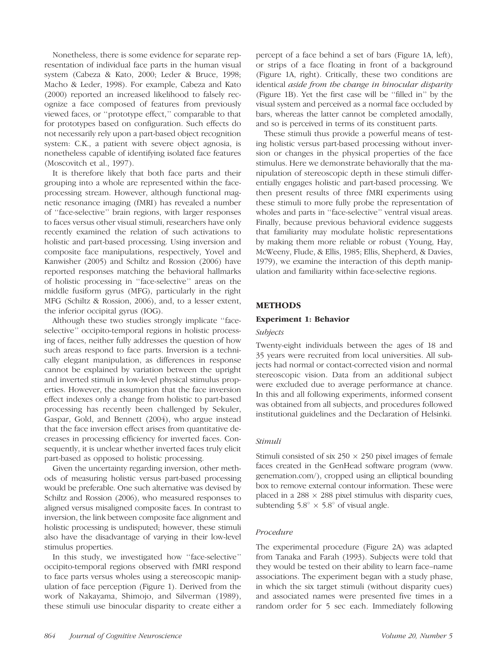Nonetheless, there is some evidence for separate representation of individual face parts in the human visual system (Cabeza & Kato, 2000; Leder & Bruce, 1998; Macho & Leder, 1998). For example, Cabeza and Kato (2000) reported an increased likelihood to falsely recognize a face composed of features from previously viewed faces, or ''prototype effect,'' comparable to that for prototypes based on configuration. Such effects do not necessarily rely upon a part-based object recognition system: C.K., a patient with severe object agnosia, is nonetheless capable of identifying isolated face features (Moscovitch et al., 1997).

It is therefore likely that both face parts and their grouping into a whole are represented within the faceprocessing stream. However, although functional magnetic resonance imaging (fMRI) has revealed a number of ''face-selective'' brain regions, with larger responses to faces versus other visual stimuli, researchers have only recently examined the relation of such activations to holistic and part-based processing. Using inversion and composite face manipulations, respectively, Yovel and Kanwisher (2005) and Schiltz and Rossion (2006) have reported responses matching the behavioral hallmarks of holistic processing in ''face-selective'' areas on the middle fusiform gyrus (MFG), particularly in the right MFG (Schiltz & Rossion, 2006), and, to a lesser extent, the inferior occipital gyrus (IOG).

Although these two studies strongly implicate ''faceselective'' occipito-temporal regions in holistic processing of faces, neither fully addresses the question of how such areas respond to face parts. Inversion is a technically elegant manipulation, as differences in response cannot be explained by variation between the upright and inverted stimuli in low-level physical stimulus properties. However, the assumption that the face inversion effect indexes only a change from holistic to part-based processing has recently been challenged by Sekuler, Gaspar, Gold, and Bennett (2004), who argue instead that the face inversion effect arises from quantitative decreases in processing efficiency for inverted faces. Consequently, it is unclear whether inverted faces truly elicit part-based as opposed to holistic processing.

Given the uncertainty regarding inversion, other methods of measuring holistic versus part-based processing would be preferable. One such alternative was devised by Schiltz and Rossion (2006), who measured responses to aligned versus misaligned composite faces. In contrast to inversion, the link between composite face alignment and holistic processing is undisputed; however, these stimuli also have the disadvantage of varying in their low-level stimulus properties.

In this study, we investigated how ''face-selective'' occipito-temporal regions observed with fMRI respond to face parts versus wholes using a stereoscopic manipulation of face perception (Figure 1). Derived from the work of Nakayama, Shimojo, and Silverman (1989), these stimuli use binocular disparity to create either a

percept of a face behind a set of bars (Figure 1A, left), or strips of a face floating in front of a background (Figure 1A, right). Critically, these two conditions are identical aside from the change in binocular disparity (Figure 1B). Yet the first case will be ''filled in'' by the visual system and perceived as a normal face occluded by bars, whereas the latter cannot be completed amodally, and so is perceived in terms of its constituent parts.

These stimuli thus provide a powerful means of testing holistic versus part-based processing without inversion or changes in the physical properties of the face stimulus. Here we demonstrate behaviorally that the manipulation of stereoscopic depth in these stimuli differentially engages holistic and part-based processing. We then present results of three fMRI experiments using these stimuli to more fully probe the representation of wholes and parts in ''face-selective'' ventral visual areas. Finally, because previous behavioral evidence suggests that familiarity may modulate holistic representations by making them more reliable or robust ( Young, Hay, McWeeny, Flude, & Ellis, 1985; Ellis, Shepherd, & Davies, 1979), we examine the interaction of this depth manipulation and familiarity within face-selective regions.

#### METHODS

#### Experiment 1: Behavior

#### Subjects

Twenty-eight individuals between the ages of 18 and 35 years were recruited from local universities. All subjects had normal or contact-corrected vision and normal stereoscopic vision. Data from an additional subject were excluded due to average performance at chance. In this and all following experiments, informed consent was obtained from all subjects, and procedures followed institutional guidelines and the Declaration of Helsinki.

#### Stimuli

Stimuli consisted of six  $250 \times 250$  pixel images of female faces created in the GenHead software program (www. genemation.com/), cropped using an elliptical bounding box to remove external contour information. These were placed in a  $288 \times 288$  pixel stimulus with disparity cues, subtending  $5.8^{\circ} \times 5.8^{\circ}$  of visual angle.

#### Procedure

The experimental procedure (Figure 2A) was adapted from Tanaka and Farah (1993). Subjects were told that they would be tested on their ability to learn face–name associations. The experiment began with a study phase, in which the six target stimuli (without disparity cues) and associated names were presented five times in a random order for 5 sec each. Immediately following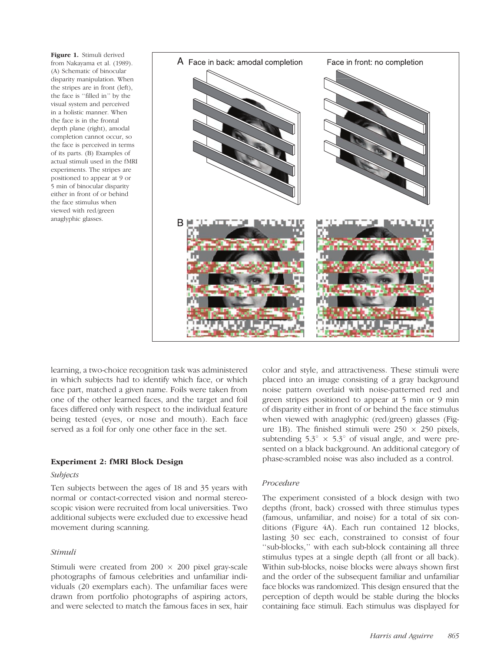Figure 1. Stimuli derived from Nakayama et al. (1989). (A) Schematic of binocular disparity manipulation. When the stripes are in front (left), the face is ''filled in'' by the visual system and perceived in a holistic manner. When the face is in the frontal depth plane (right), amodal completion cannot occur, so the face is perceived in terms of its parts. (B) Examples of actual stimuli used in the fMRI experiments. The stripes are positioned to appear at 9 or 5 min of binocular disparity either in front of or behind the face stimulus when viewed with red/green anaglyphic glasses.



learning, a two-choice recognition task was administered in which subjects had to identify which face, or which face part, matched a given name. Foils were taken from one of the other learned faces, and the target and foil faces differed only with respect to the individual feature being tested (eyes, or nose and mouth). Each face served as a foil for only one other face in the set.

# Experiment 2: fMRI Block Design

### Subjects

Ten subjects between the ages of 18 and 35 years with normal or contact-corrected vision and normal stereoscopic vision were recruited from local universities. Two additional subjects were excluded due to excessive head movement during scanning.

# Stimuli

Stimuli were created from  $200 \times 200$  pixel gray-scale photographs of famous celebrities and unfamiliar individuals (20 exemplars each). The unfamiliar faces were drawn from portfolio photographs of aspiring actors, and were selected to match the famous faces in sex, hair color and style, and attractiveness. These stimuli were placed into an image consisting of a gray background noise pattern overlaid with noise-patterned red and green stripes positioned to appear at 5 min or 9 min of disparity either in front of or behind the face stimulus when viewed with anaglyphic (red/green) glasses (Figure 1B). The finished stimuli were  $250 \times 250$  pixels, subtending  $5.3^{\circ} \times 5.3^{\circ}$  of visual angle, and were presented on a black background. An additional category of phase-scrambled noise was also included as a control.

#### Procedure

The experiment consisted of a block design with two depths (front, back) crossed with three stimulus types (famous, unfamiliar, and noise) for a total of six conditions (Figure 4A). Each run contained 12 blocks, lasting 30 sec each, constrained to consist of four ''sub-blocks,'' with each sub-block containing all three stimulus types at a single depth (all front or all back). Within sub-blocks, noise blocks were always shown first and the order of the subsequent familiar and unfamiliar face blocks was randomized. This design ensured that the perception of depth would be stable during the blocks containing face stimuli. Each stimulus was displayed for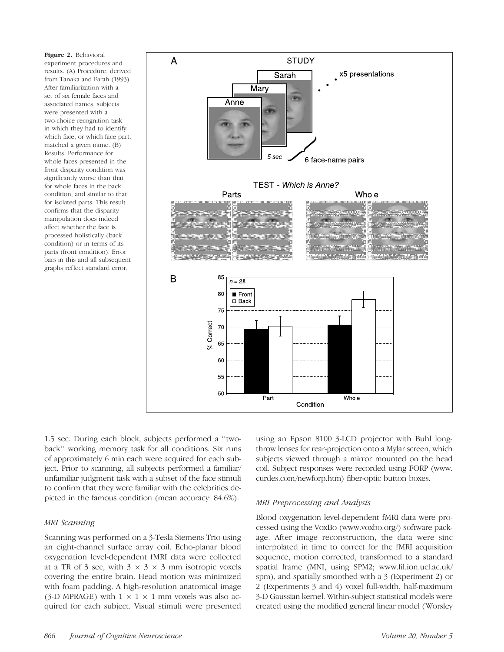Figure 2. Behavioral experiment procedures and results. (A) Procedure, derived from Tanaka and Farah (1993). After familiarization with a set of six female faces and associated names, subjects were presented with a two-choice recognition task in which they had to identify which face, or which face part, matched a given name. (B) Results. Performance for whole faces presented in the front disparity condition was significantly worse than that for whole faces in the back condition, and similar to that for isolated parts. This result confirms that the disparity manipulation does indeed affect whether the face is processed holistically (back condition) or in terms of its parts (front condition). Error bars in this and all subsequent graphs reflect standard error.



1.5 sec. During each block, subjects performed a ''twoback'' working memory task for all conditions. Six runs of approximately 6 min each were acquired for each subject. Prior to scanning, all subjects performed a familiar/ unfamiliar judgment task with a subset of the face stimuli to confirm that they were familiar with the celebrities depicted in the famous condition (mean accuracy: 84.6%).

#### MRI Scanning

Scanning was performed on a 3-Tesla Siemens Trio using an eight-channel surface array coil. Echo-planar blood oxygenation level-dependent fMRI data were collected at a TR of 3 sec, with  $3 \times 3 \times 3$  mm isotropic voxels covering the entire brain. Head motion was minimized with foam padding. A high-resolution anatomical image (3-D MPRAGE) with  $1 \times 1 \times 1$  mm voxels was also acquired for each subject. Visual stimuli were presented

coil. Subject responses were recorded using FORP (www. curdes.com/newforp.htm) fiber-optic button boxes. MRI Preprocessing and Analysis Blood oxygenation level-dependent fMRI data were pro-

cessed using the VoxBo (www.voxbo.org/) software package. After image reconstruction, the data were sinc interpolated in time to correct for the fMRI acquisition sequence, motion corrected, transformed to a standard spatial frame (MNI, using SPM2; www.fil.ion.ucl.ac.uk/ spm), and spatially smoothed with a 3 (Experiment 2) or 2 (Experiments 3 and 4) voxel full-width, half-maximum 3-D Gaussian kernel. Within-subject statistical models were created using the modified general linear model (Worsley

using an Epson 8100 3-LCD projector with Buhl longthrow lenses for rear-projection onto a Mylar screen, which subjects viewed through a mirror mounted on the head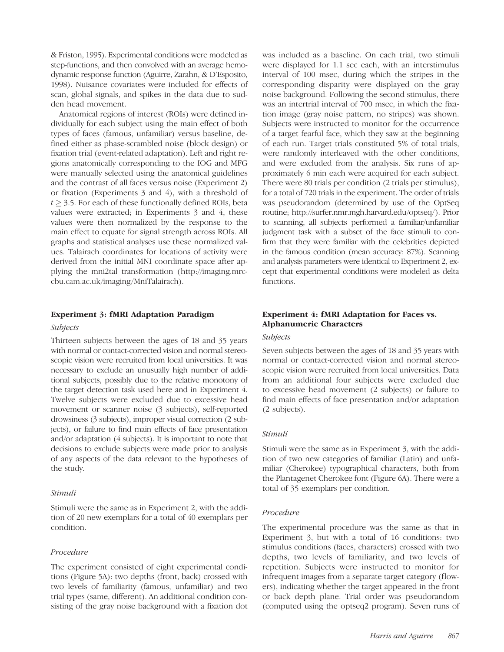& Friston, 1995). Experimental conditions were modeled as step-functions, and then convolved with an average hemodynamic response function (Aguirre, Zarahn, & D'Esposito, 1998). Nuisance covariates were included for effects of scan, global signals, and spikes in the data due to sudden head movement.

Anatomical regions of interest (ROIs) were defined individually for each subject using the main effect of both types of faces (famous, unfamiliar) versus baseline, defined either as phase-scrambled noise (block design) or fixation trial (event-related adaptation). Left and right regions anatomically corresponding to the IOG and MFG were manually selected using the anatomical guidelines and the contrast of all faces versus noise (Experiment 2) or fixation (Experiments 3 and 4), with a threshold of  $t \geq 3.5$ . For each of these functionally defined ROIs, beta values were extracted; in Experiments 3 and 4, these values were then normalized by the response to the main effect to equate for signal strength across ROIs. All graphs and statistical analyses use these normalized values. Talairach coordinates for locations of activity were derived from the initial MNI coordinate space after applying the mni2tal transformation (http://imaging.mrccbu.cam.ac.uk/imaging/MniTalairach).

#### Experiment 3: fMRI Adaptation Paradigm

#### Subjects

Thirteen subjects between the ages of 18 and 35 years with normal or contact-corrected vision and normal stereoscopic vision were recruited from local universities. It was necessary to exclude an unusually high number of additional subjects, possibly due to the relative monotony of the target detection task used here and in Experiment 4. Twelve subjects were excluded due to excessive head movement or scanner noise (3 subjects), self-reported drowsiness (3 subjects), improper visual correction (2 subjects), or failure to find main effects of face presentation and/or adaptation (4 subjects). It is important to note that decisions to exclude subjects were made prior to analysis of any aspects of the data relevant to the hypotheses of the study.

#### Stimuli

Stimuli were the same as in Experiment 2, with the addition of 20 new exemplars for a total of 40 exemplars per condition.

#### Procedure

The experiment consisted of eight experimental conditions (Figure 5A): two depths (front, back) crossed with two levels of familiarity (famous, unfamiliar) and two trial types (same, different). An additional condition consisting of the gray noise background with a fixation dot was included as a baseline. On each trial, two stimuli were displayed for 1.1 sec each, with an interstimulus interval of 100 msec, during which the stripes in the corresponding disparity were displayed on the gray noise background. Following the second stimulus, there was an intertrial interval of 700 msec, in which the fixation image (gray noise pattern, no stripes) was shown. Subjects were instructed to monitor for the occurrence of a target fearful face, which they saw at the beginning of each run. Target trials constituted 5% of total trials, were randomly interleaved with the other conditions, and were excluded from the analysis. Six runs of approximately 6 min each were acquired for each subject. There were 80 trials per condition (2 trials per stimulus), for a total of 720 trials in the experiment. The order of trials was pseudorandom (determined by use of the OptSeq routine; http://surfer.nmr.mgh.harvard.edu/optseq/). Prior to scanning, all subjects performed a familiar/unfamiliar judgment task with a subset of the face stimuli to confirm that they were familiar with the celebrities depicted in the famous condition (mean accuracy: 87%). Scanning and analysis parameters were identical to Experiment 2, except that experimental conditions were modeled as delta functions.

# Experiment 4: fMRI Adaptation for Faces vs. Alphanumeric Characters

## Subjects

Seven subjects between the ages of 18 and 35 years with normal or contact-corrected vision and normal stereoscopic vision were recruited from local universities. Data from an additional four subjects were excluded due to excessive head movement (2 subjects) or failure to find main effects of face presentation and/or adaptation (2 subjects).

#### Stimuli

Stimuli were the same as in Experiment 3, with the addition of two new categories of familiar (Latin) and unfamiliar (Cherokee) typographical characters, both from the Plantagenet Cherokee font (Figure 6A). There were a total of 35 exemplars per condition.

#### Procedure

The experimental procedure was the same as that in Experiment 3, but with a total of 16 conditions: two stimulus conditions (faces, characters) crossed with two depths, two levels of familiarity, and two levels of repetition. Subjects were instructed to monitor for infrequent images from a separate target category (flowers), indicating whether the target appeared in the front or back depth plane. Trial order was pseudorandom (computed using the optseq2 program). Seven runs of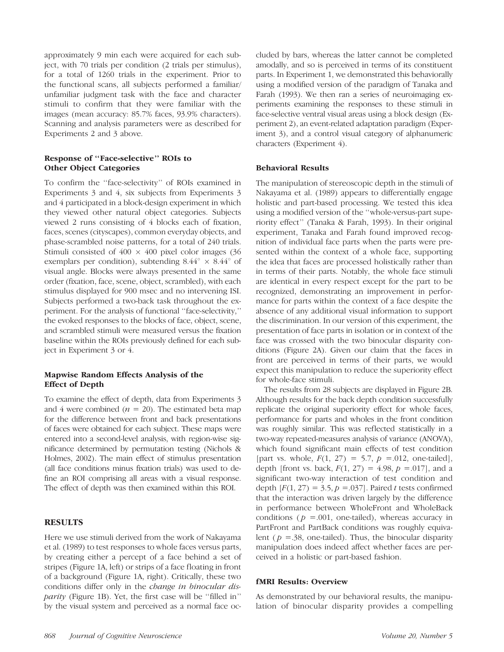approximately 9 min each were acquired for each subject, with 70 trials per condition (2 trials per stimulus), for a total of 1260 trials in the experiment. Prior to the functional scans, all subjects performed a familiar/ unfamiliar judgment task with the face and character stimuli to confirm that they were familiar with the images (mean accuracy: 85.7% faces, 93.9% characters). Scanning and analysis parameters were as described for Experiments 2 and 3 above.

### Response of ''Face-selective'' ROIs to Other Object Categories

To confirm the ''face-selectivity'' of ROIs examined in Experiments 3 and 4, six subjects from Experiments 3 and 4 participated in a block-design experiment in which they viewed other natural object categories. Subjects viewed 2 runs consisting of 4 blocks each of fixation, faces, scenes (cityscapes), common everyday objects, and phase-scrambled noise patterns, for a total of 240 trials. Stimuli consisted of  $400 \times 400$  pixel color images (36 exemplars per condition), subtending  $8.44^{\circ} \times 8.44^{\circ}$  of visual angle. Blocks were always presented in the same order (fixation, face, scene, object, scrambled), with each stimulus displayed for 900 msec and no intervening ISI. Subjects performed a two-back task throughout the experiment. For the analysis of functional ''face-selectivity,'' the evoked responses to the blocks of face, object, scene, and scrambled stimuli were measured versus the fixation baseline within the ROIs previously defined for each subject in Experiment 3 or 4.

# Mapwise Random Effects Analysis of the Effect of Depth

To examine the effect of depth, data from Experiments 3 and 4 were combined ( $n = 20$ ). The estimated beta map for the difference between front and back presentations of faces were obtained for each subject. These maps were entered into a second-level analysis, with region-wise significance determined by permutation testing (Nichols & Holmes, 2002). The main effect of stimulus presentation (all face conditions minus fixation trials) was used to define an ROI comprising all areas with a visual response. The effect of depth was then examined within this ROI.

# RESULTS

Here we use stimuli derived from the work of Nakayama et al. (1989) to test responses to whole faces versus parts, by creating either a percept of a face behind a set of stripes (Figure 1A, left) or strips of a face floating in front of a background (Figure 1A, right). Critically, these two conditions differ only in the change in binocular disparity (Figure 1B). Yet, the first case will be "filled in" by the visual system and perceived as a normal face occluded by bars, whereas the latter cannot be completed amodally, and so is perceived in terms of its constituent parts. In Experiment 1, we demonstrated this behaviorally using a modified version of the paradigm of Tanaka and Farah (1993). We then ran a series of neuroimaging experiments examining the responses to these stimuli in face-selective ventral visual areas using a block design (Experiment 2), an event-related adaptation paradigm (Experiment 3), and a control visual category of alphanumeric characters (Experiment 4).

### Behavioral Results

The manipulation of stereoscopic depth in the stimuli of Nakayama et al. (1989) appears to differentially engage holistic and part-based processing. We tested this idea using a modified version of the ''whole-versus-part superiority effect'' (Tanaka & Farah, 1993). In their original experiment, Tanaka and Farah found improved recognition of individual face parts when the parts were presented within the context of a whole face, supporting the idea that faces are processed holistically rather than in terms of their parts. Notably, the whole face stimuli are identical in every respect except for the part to be recognized, demonstrating an improvement in performance for parts within the context of a face despite the absence of any additional visual information to support the discrimination. In our version of this experiment, the presentation of face parts in isolation or in context of the face was crossed with the two binocular disparity conditions (Figure 2A). Given our claim that the faces in front are perceived in terms of their parts, we would expect this manipulation to reduce the superiority effect for whole-face stimuli.

The results from 28 subjects are displayed in Figure 2B. Although results for the back depth condition successfully replicate the original superiority effect for whole faces, performance for parts and wholes in the front condition was roughly similar. This was reflected statistically in a two-way repeated-measures analysis of variance (ANOVA), which found significant main effects of test condition [part vs. whole,  $F(1, 27) = 5.7$ ,  $p = .012$ , one-tailed], depth [front vs. back,  $F(1, 27) = 4.98$ ,  $p = .017$ ], and a significant two-way interaction of test condition and depth  $[F(1, 27) = 3.5, p = .037]$ . Paired t tests confirmed that the interaction was driven largely by the difference in performance between WholeFront and WholeBack conditions ( $p = .001$ , one-tailed), whereas accuracy in PartFront and PartBack conditions was roughly equivalent ( $p = 0.38$ , one-tailed). Thus, the binocular disparity manipulation does indeed affect whether faces are perceived in a holistic or part-based fashion.

#### fMRI Results: Overview

As demonstrated by our behavioral results, the manipulation of binocular disparity provides a compelling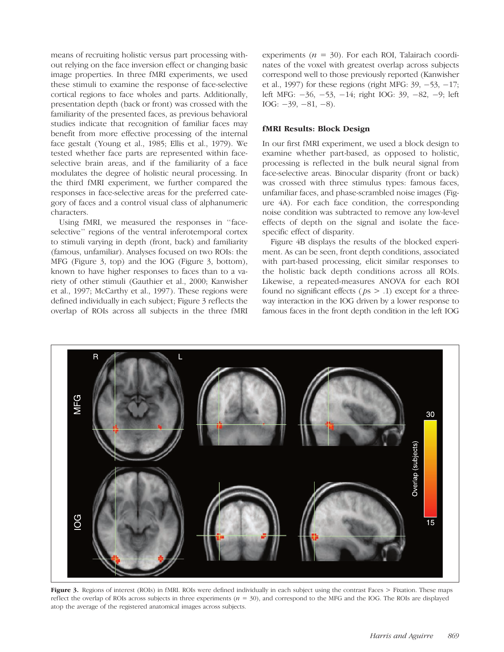means of recruiting holistic versus part processing without relying on the face inversion effect or changing basic image properties. In three fMRI experiments, we used these stimuli to examine the response of face-selective cortical regions to face wholes and parts. Additionally, presentation depth (back or front) was crossed with the familiarity of the presented faces, as previous behavioral studies indicate that recognition of familiar faces may benefit from more effective processing of the internal face gestalt (Young et al., 1985; Ellis et al., 1979). We tested whether face parts are represented within faceselective brain areas, and if the familiarity of a face modulates the degree of holistic neural processing. In the third fMRI experiment, we further compared the responses in face-selective areas for the preferred category of faces and a control visual class of alphanumeric characters.

Using fMRI, we measured the responses in ''faceselective'' regions of the ventral inferotemporal cortex to stimuli varying in depth (front, back) and familiarity (famous, unfamiliar). Analyses focused on two ROIs: the MFG (Figure 3, top) and the IOG (Figure 3, bottom), known to have higher responses to faces than to a variety of other stimuli (Gauthier et al., 2000; Kanwisher et al., 1997; McCarthy et al., 1997). These regions were defined individually in each subject; Figure 3 reflects the overlap of ROIs across all subjects in the three fMRI experiments ( $n = 30$ ). For each ROI, Talairach coordinates of the voxel with greatest overlap across subjects correspond well to those previously reported (Kanwisher et al., 1997) for these regions (right MFG:  $39, -53, -17$ ; left MFG:  $-36$ ,  $-53$ ,  $-14$ ; right IOG: 39,  $-82$ ,  $-9$ ; left IOG:  $-39, -81, -8$ ).

#### fMRI Results: Block Design

In our first fMRI experiment, we used a block design to examine whether part-based, as opposed to holistic, processing is reflected in the bulk neural signal from face-selective areas. Binocular disparity (front or back) was crossed with three stimulus types: famous faces, unfamiliar faces, and phase-scrambled noise images (Figure 4A). For each face condition, the corresponding noise condition was subtracted to remove any low-level effects of depth on the signal and isolate the facespecific effect of disparity.

Figure 4B displays the results of the blocked experiment. As can be seen, front depth conditions, associated with part-based processing, elicit similar responses to the holistic back depth conditions across all ROIs. Likewise, a repeated-measures ANOVA for each ROI found no significant effects ( $ps > .1$ ) except for a threeway interaction in the IOG driven by a lower response to famous faces in the front depth condition in the left IOG



Figure 3. Regions of interest (ROIs) in fMRI. ROIs were defined individually in each subject using the contrast Faces > Fixation. These maps reflect the overlap of ROIs across subjects in three experiments  $(n = 30)$ , and correspond to the MFG and the IOG. The ROIs are displayed atop the average of the registered anatomical images across subjects.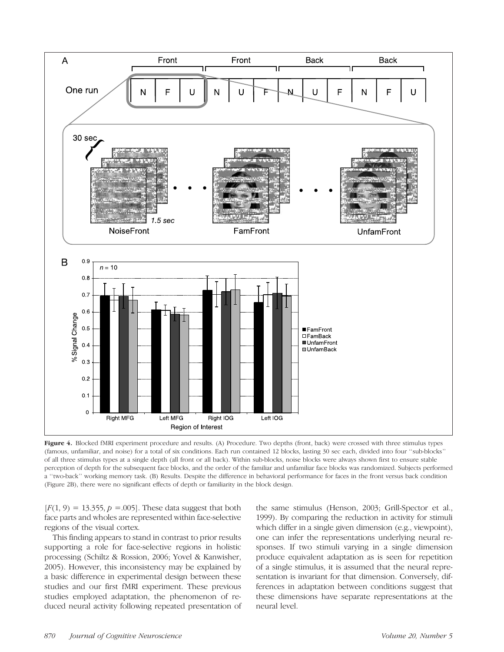

Figure 4. Blocked fMRI experiment procedure and results. (A) Procedure. Two depths (front, back) were crossed with three stimulus types (famous, unfamiliar, and noise) for a total of six conditions. Each run contained 12 blocks, lasting 30 sec each, divided into four ''sub-blocks'' of all three stimulus types at a single depth (all front or all back). Within sub-blocks, noise blocks were always shown first to ensure stable perception of depth for the subsequent face blocks, and the order of the familiar and unfamiliar face blocks was randomized. Subjects performed a ''two-back'' working memory task. (B) Results. Despite the difference in behavioral performance for faces in the front versus back condition (Figure 2B), there were no significant effects of depth or familiarity in the block design.

 $[F(1, 9) = 13.355, p = .005]$ . These data suggest that both face parts and wholes are represented within face-selective regions of the visual cortex.

This finding appears to stand in contrast to prior results supporting a role for face-selective regions in holistic processing (Schiltz & Rossion, 2006; Yovel & Kanwisher, 2005). However, this inconsistency may be explained by a basic difference in experimental design between these studies and our first fMRI experiment. These previous studies employed adaptation, the phenomenon of reduced neural activity following repeated presentation of

the same stimulus (Henson, 2003; Grill-Spector et al., 1999). By comparing the reduction in activity for stimuli which differ in a single given dimension (e.g., viewpoint), one can infer the representations underlying neural responses. If two stimuli varying in a single dimension produce equivalent adaptation as is seen for repetition of a single stimulus, it is assumed that the neural representation is invariant for that dimension. Conversely, differences in adaptation between conditions suggest that these dimensions have separate representations at the neural level.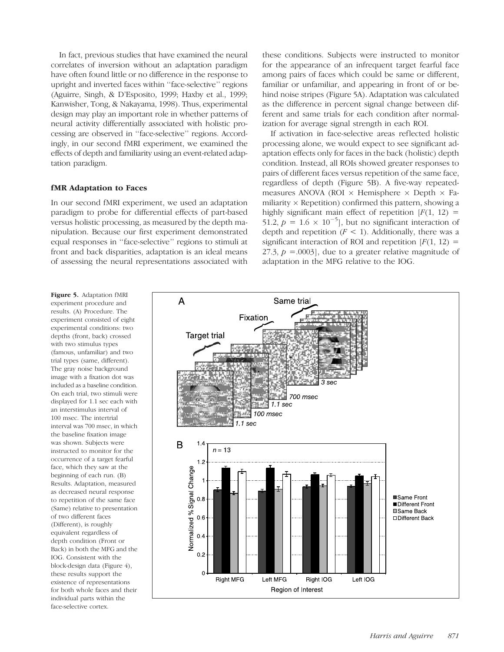In fact, previous studies that have examined the neural correlates of inversion without an adaptation paradigm have often found little or no difference in the response to upright and inverted faces within ''face-selective'' regions (Aguirre, Singh, & D'Esposito, 1999; Haxby et al., 1999; Kanwisher, Tong, & Nakayama, 1998). Thus, experimental design may play an important role in whether patterns of neural activity differentially associated with holistic processing are observed in ''face-selective'' regions. Accordingly, in our second fMRI experiment, we examined the effects of depth and familiarity using an event-related adaptation paradigm.

#### fMR Adaptation to Faces

In our second fMRI experiment, we used an adaptation paradigm to probe for differential effects of part-based versus holistic processing, as measured by the depth manipulation. Because our first experiment demonstrated equal responses in ''face-selective'' regions to stimuli at front and back disparities, adaptation is an ideal means of assessing the neural representations associated with these conditions. Subjects were instructed to monitor for the appearance of an infrequent target fearful face among pairs of faces which could be same or different, familiar or unfamiliar, and appearing in front of or behind noise stripes (Figure 5A). Adaptation was calculated as the difference in percent signal change between different and same trials for each condition after normalization for average signal strength in each ROI.

If activation in face-selective areas reflected holistic processing alone, we would expect to see significant adaptation effects only for faces in the back (holistic) depth condition. Instead, all ROIs showed greater responses to pairs of different faces versus repetition of the same face, regardless of depth (Figure 5B). A five-way repeatedmeasures ANOVA (ROI  $\times$  Hemisphere  $\times$  Depth  $\times$  Familiarity  $\times$  Repetition) confirmed this pattern, showing a highly significant main effect of repetition  $[F(1, 12) =$ 51.2,  $p = 1.6 \times 10^{-5}$ , but no significant interaction of depth and repetition  $(F < 1)$ . Additionally, there was a significant interaction of ROI and repetition  $[F(1, 12) =$ 27.3,  $p = 0.0003$ , due to a greater relative magnitude of adaptation in the MFG relative to the IOG.

Figure 5. Adaptation fMRI experiment procedure and results. (A) Procedure. The experiment consisted of eight experimental conditions: two depths (front, back) crossed with two stimulus types (famous, unfamiliar) and two trial types (same, different). The gray noise background image with a fixation dot was included as a baseline condition. On each trial, two stimuli were displayed for 1.1 sec each with an interstimulus interval of 100 msec. The intertrial interval was 700 msec, in which the baseline fixation image was shown. Subjects were instructed to monitor for the occurrence of a target fearful face, which they saw at the beginning of each run. (B) Results. Adaptation, measured as decreased neural response to repetition of the same face (Same) relative to presentation of two different faces (Different), is roughly equivalent regardless of depth condition (Front or Back) in both the MFG and the IOG. Consistent with the block-design data (Figure 4), these results support the existence of representations for both whole faces and their individual parts within the face-selective cortex.

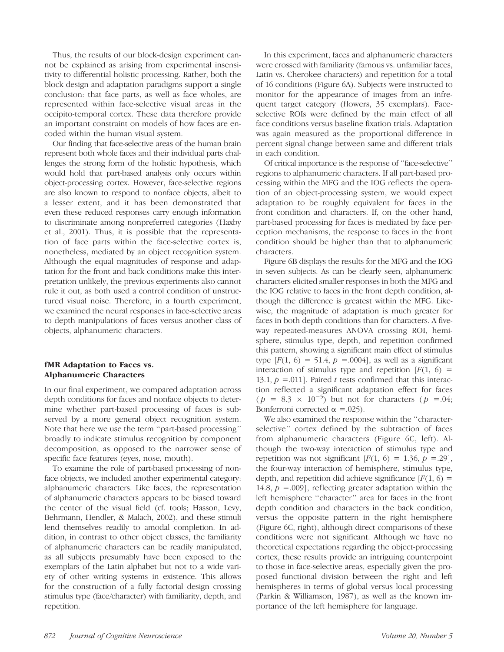Thus, the results of our block-design experiment cannot be explained as arising from experimental insensitivity to differential holistic processing. Rather, both the block design and adaptation paradigms support a single conclusion: that face parts, as well as face wholes, are represented within face-selective visual areas in the occipito-temporal cortex. These data therefore provide an important constraint on models of how faces are encoded within the human visual system.

Our finding that face-selective areas of the human brain represent both whole faces and their individual parts challenges the strong form of the holistic hypothesis, which would hold that part-based analysis only occurs within object-processing cortex. However, face-selective regions are also known to respond to nonface objects, albeit to a lesser extent, and it has been demonstrated that even these reduced responses carry enough information to discriminate among nonpreferred categories (Haxby et al., 2001). Thus, it is possible that the representation of face parts within the face-selective cortex is, nonetheless, mediated by an object recognition system. Although the equal magnitudes of response and adaptation for the front and back conditions make this interpretation unlikely, the previous experiments also cannot rule it out, as both used a control condition of unstructured visual noise. Therefore, in a fourth experiment, we examined the neural responses in face-selective areas to depth manipulations of faces versus another class of objects, alphanumeric characters.

#### fMR Adaptation to Faces vs. Alphanumeric Characters

In our final experiment, we compared adaptation across depth conditions for faces and nonface objects to determine whether part-based processing of faces is subserved by a more general object recognition system. Note that here we use the term ''part-based processing'' broadly to indicate stimulus recognition by component decomposition, as opposed to the narrower sense of specific face features (eyes, nose, mouth).

To examine the role of part-based processing of nonface objects, we included another experimental category: alphanumeric characters. Like faces, the representation of alphanumeric characters appears to be biased toward the center of the visual field (cf. tools; Hasson, Levy, Behrmann, Hendler, & Malach, 2002), and these stimuli lend themselves readily to amodal completion. In addition, in contrast to other object classes, the familiarity of alphanumeric characters can be readily manipulated, as all subjects presumably have been exposed to the exemplars of the Latin alphabet but not to a wide variety of other writing systems in existence. This allows for the construction of a fully factorial design crossing stimulus type (face/character) with familiarity, depth, and repetition.

In this experiment, faces and alphanumeric characters were crossed with familiarity (famous vs. unfamiliar faces, Latin vs. Cherokee characters) and repetition for a total of 16 conditions (Figure 6A). Subjects were instructed to monitor for the appearance of images from an infrequent target category (flowers, 35 exemplars). Faceselective ROIs were defined by the main effect of all face conditions versus baseline fixation trials. Adaptation was again measured as the proportional difference in percent signal change between same and different trials in each condition.

Of critical importance is the response of ''face-selective'' regions to alphanumeric characters. If all part-based processing within the MFG and the IOG reflects the operation of an object-processing system, we would expect adaptation to be roughly equivalent for faces in the front condition and characters. If, on the other hand, part-based processing for faces is mediated by face perception mechanisms, the response to faces in the front condition should be higher than that to alphanumeric characters.

Figure 6B displays the results for the MFG and the IOG in seven subjects. As can be clearly seen, alphanumeric characters elicited smaller responses in both the MFG and the IOG relative to faces in the front depth condition, although the difference is greatest within the MFG. Likewise, the magnitude of adaptation is much greater for faces in both depth conditions than for characters. A fiveway repeated-measures ANOVA crossing ROI, hemisphere, stimulus type, depth, and repetition confirmed this pattern, showing a significant main effect of stimulus type  $[F(1, 6) = 51.4, p = .0004]$ , as well as a significant interaction of stimulus type and repetition  $[F(1, 6) =$ 13.1,  $p = 0.011$ . Paired t tests confirmed that this interaction reflected a significant adaptation effect for faces  $(p = 8.3 \times 10^{-5})$  but not for characters  $(p = .04;$ Bonferroni corrected  $\alpha = .025$ ).

We also examined the response within the ''characterselective'' cortex defined by the subtraction of faces from alphanumeric characters (Figure 6C, left). Although the two-way interaction of stimulus type and repetition was not significant  $[F(1, 6) = 1.36, p = .29]$ , the four-way interaction of hemisphere, stimulus type, depth, and repetition did achieve significance  $[F(1, 6) =$ 14.8,  $p = .009$ , reflecting greater adaptation within the left hemisphere ''character'' area for faces in the front depth condition and characters in the back condition, versus the opposite pattern in the right hemisphere (Figure 6C, right), although direct comparisons of these conditions were not significant. Although we have no theoretical expectations regarding the object-processing cortex, these results provide an intriguing counterpoint to those in face-selective areas, especially given the proposed functional division between the right and left hemispheres in terms of global versus local processing (Parkin & Williamson, 1987), as well as the known importance of the left hemisphere for language.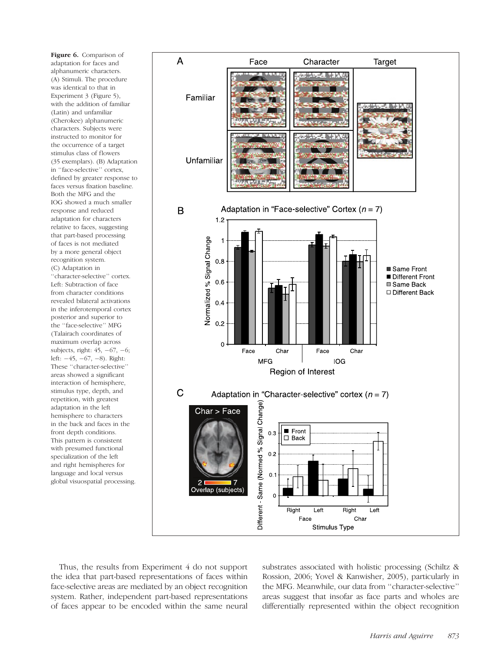Figure 6. Comparison of adaptation for faces and alphanumeric characters. (A) Stimuli. The procedure was identical to that in Experiment 3 (Figure 5), with the addition of familiar (Latin) and unfamiliar (Cherokee) alphanumeric characters. Subjects were instructed to monitor for the occurrence of a target stimulus class of flowers (35 exemplars). (B) Adaptation in ''face-selective'' cortex, defined by greater response to faces versus fixation baseline. Both the MFG and the IOG showed a much smaller response and reduced adaptation for characters relative to faces, suggesting that part-based processing of faces is not mediated by a more general object recognition system. (C) Adaptation in ''character-selective'' cortex. Left: Subtraction of face from character conditions revealed bilateral activations in the inferotemporal cortex posterior and superior to the ''face-selective'' MFG (Talairach coordinates of maximum overlap across subjects, right:  $45, -67, -6$ ; left:  $-45, -67, -8$ ). Right: These ''character-selective'' areas showed a significant interaction of hemisphere, stimulus type, depth, and repetition, with greatest adaptation in the left hemisphere to characters in the back and faces in the front depth conditions. This pattern is consistent with presumed functional specialization of the left and right hemispheres for language and local versus global visuospatial processing.



Thus, the results from Experiment 4 do not support the idea that part-based representations of faces within face-selective areas are mediated by an object recognition system. Rather, independent part-based representations of faces appear to be encoded within the same neural substrates associated with holistic processing (Schiltz & Rossion, 2006; Yovel & Kanwisher, 2005), particularly in the MFG. Meanwhile, our data from ''character-selective'' areas suggest that insofar as face parts and wholes are differentially represented within the object recognition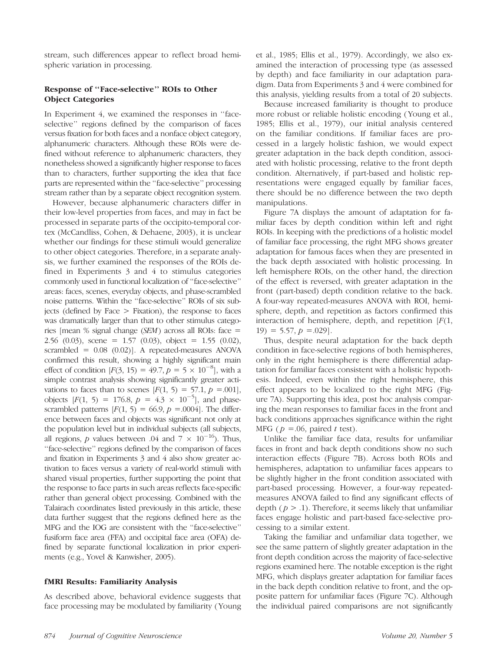stream, such differences appear to reflect broad hemispheric variation in processing.

### Response of ''Face-selective'' ROIs to Other Object Categories

In Experiment 4, we examined the responses in ''faceselective'' regions defined by the comparison of faces versus fixation for both faces and a nonface object category, alphanumeric characters. Although these ROIs were defined without reference to alphanumeric characters, they nonetheless showed a significantly higher response to faces than to characters, further supporting the idea that face parts are represented within the ''face-selective'' processing stream rather than by a separate object recognition system.

However, because alphanumeric characters differ in their low-level properties from faces, and may in fact be processed in separate parts of the occipito-temporal cortex (McCandliss, Cohen, & Dehaene, 2003), it is unclear whether our findings for these stimuli would generalize to other object categories. Therefore, in a separate analysis, we further examined the responses of the ROIs defined in Experiments 3 and 4 to stimulus categories commonly used in functional localization of ''face-selective'' areas: faces, scenes, everyday objects, and phase-scrambled noise patterns. Within the ''face-selective'' ROIs of six subjects (defined by Face > Fixation), the response to faces was dramatically larger than that to other stimulus categories [mean % signal change (SEM) across all ROIs: face = 2.56 (0.03), scene = 1.57 (0.03), object = 1.55 (0.02), scrambled = 0.08 (0.02)]. A repeated-measures ANOVA confirmed this result, showing a highly significant main effect of condition  $[F(3, 15) = 49.7, p = 5 \times 10^{-8}]$ , with a simple contrast analysis showing significantly greater activations to faces than to scenes  $[F(1, 5) = 57.1, p = .001]$ , objects  $[F(1, 5) = 176.8, p = 4.3 \times 10^{-5}]$ , and phasescrambled patterns  $[F(1, 5) = 66.9, p = .0004]$ . The difference between faces and objects was significant not only at the population level but in individual subjects (all subjects, all regions, p values between .04 and  $7 \times 10^{-16}$ ). Thus, ''face-selective'' regions defined by the comparison of faces and fixation in Experiments 3 and 4 also show greater activation to faces versus a variety of real-world stimuli with shared visual properties, further supporting the point that the response to face parts in such areas reflects face-specific rather than general object processing. Combined with the Talairach coordinates listed previously in this article, these data further suggest that the regions defined here as the MFG and the IOG are consistent with the ''face-selective'' fusiform face area (FFA) and occipital face area (OFA) defined by separate functional localization in prior experiments (e.g., Yovel & Kanwisher, 2005).

#### fMRI Results: Familiarity Analysis

As described above, behavioral evidence suggests that face processing may be modulated by familiarity ( Young et al., 1985; Ellis et al., 1979). Accordingly, we also examined the interaction of processing type (as assessed by depth) and face familiarity in our adaptation paradigm. Data from Experiments 3 and 4 were combined for this analysis, yielding results from a total of 20 subjects.

Because increased familiarity is thought to produce more robust or reliable holistic encoding ( Young et al., 1985; Ellis et al., 1979), our initial analysis centered on the familiar conditions. If familiar faces are processed in a largely holistic fashion, we would expect greater adaptation in the back depth condition, associated with holistic processing, relative to the front depth condition. Alternatively, if part-based and holistic representations were engaged equally by familiar faces, there should be no difference between the two depth manipulations.

Figure 7A displays the amount of adaptation for familiar faces by depth condition within left and right ROIs. In keeping with the predictions of a holistic model of familiar face processing, the right MFG shows greater adaptation for famous faces when they are presented in the back depth associated with holistic processing. In left hemisphere ROIs, on the other hand, the direction of the effect is reversed, with greater adaptation in the front (part-based) depth condition relative to the back. A four-way repeated-measures ANOVA with ROI, hemisphere, depth, and repetition as factors confirmed this interaction of hemisphere, depth, and repetition  $[F(1,$  $19$ ) = 5.57,  $p = 0.029$ .

Thus, despite neural adaptation for the back depth condition in face-selective regions of both hemispheres, only in the right hemisphere is there differential adaptation for familiar faces consistent with a holistic hypothesis. Indeed, even within the right hemisphere, this effect appears to be localized to the right MFG (Figure 7A). Supporting this idea, post hoc analysis comparing the mean responses to familiar faces in the front and back conditions approaches significance within the right MFG ( $p = .06$ , paired t test).

Unlike the familiar face data, results for unfamiliar faces in front and back depth conditions show no such interaction effects (Figure 7B). Across both ROIs and hemispheres, adaptation to unfamiliar faces appears to be slightly higher in the front condition associated with part-based processing. However, a four-way repeatedmeasures ANOVA failed to find any significant effects of depth ( $p > 0.1$ ). Therefore, it seems likely that unfamiliar faces engage holistic and part-based face-selective processing to a similar extent.

Taking the familiar and unfamiliar data together, we see the same pattern of slightly greater adaptation in the front depth condition across the majority of face-selective regions examined here. The notable exception is the right MFG, which displays greater adaptation for familiar faces in the back depth condition relative to front, and the opposite pattern for unfamiliar faces (Figure 7C). Although the individual paired comparisons are not significantly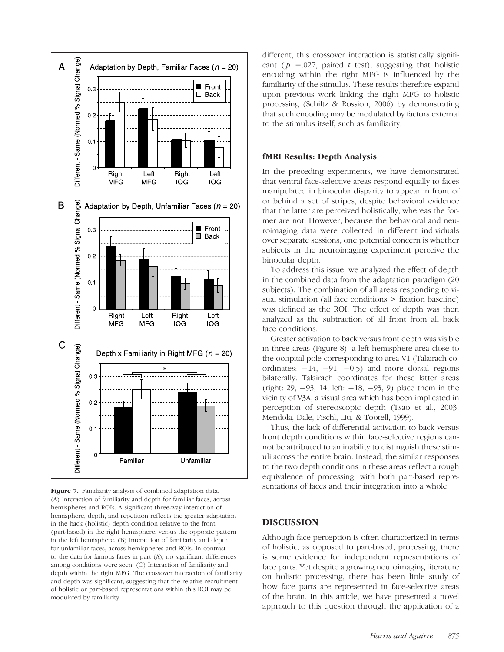

Figure 7. Familiarity analysis of combined adaptation data. (A) Interaction of familiarity and depth for familiar faces, across hemispheres and ROIs. A significant three-way interaction of hemisphere, depth, and repetition reflects the greater adaptation in the back (holistic) depth condition relative to the front (part-based) in the right hemisphere, versus the opposite pattern in the left hemisphere. (B) Interaction of familiarity and depth for unfamiliar faces, across hemispheres and ROIs. In contrast to the data for famous faces in part (A), no significant differences among conditions were seen. (C) Interaction of familiarity and depth within the right MFG. The crossover interaction of familiarity and depth was significant, suggesting that the relative recruitment of holistic or part-based representations within this ROI may be modulated by familiarity.

different, this crossover interaction is statistically significant ( $p = 0.027$ , paired t test), suggesting that holistic encoding within the right MFG is influenced by the familiarity of the stimulus. These results therefore expand upon previous work linking the right MFG to holistic processing (Schiltz & Rossion, 2006) by demonstrating that such encoding may be modulated by factors external to the stimulus itself, such as familiarity.

#### fMRI Results: Depth Analysis

In the preceding experiments, we have demonstrated that ventral face-selective areas respond equally to faces manipulated in binocular disparity to appear in front of or behind a set of stripes, despite behavioral evidence that the latter are perceived holistically, whereas the former are not. However, because the behavioral and neuroimaging data were collected in different individuals over separate sessions, one potential concern is whether subjects in the neuroimaging experiment perceive the binocular depth.

To address this issue, we analyzed the effect of depth in the combined data from the adaptation paradigm (20 subjects). The combination of all areas responding to visual stimulation (all face conditions  $>$  fixation baseline) was defined as the ROI. The effect of depth was then analyzed as the subtraction of all front from all back face conditions.

Greater activation to back versus front depth was visible in three areas (Figure 8): a left hemisphere area close to the occipital pole corresponding to area V1 (Talairach coordinates:  $-14$ ,  $-91$ ,  $-0.5$ ) and more dorsal regions bilaterally. Talairach coordinates for these latter areas (right:  $29, -93, 14$ ; left:  $-18, -93, 9$ ) place them in the vicinity of V3A, a visual area which has been implicated in perception of stereoscopic depth (Tsao et al., 2003; Mendola, Dale, Fischl, Liu, & Tootell, 1999).

Thus, the lack of differential activation to back versus front depth conditions within face-selective regions cannot be attributed to an inability to distinguish these stimuli across the entire brain. Instead, the similar responses to the two depth conditions in these areas reflect a rough equivalence of processing, with both part-based representations of faces and their integration into a whole.

### DISCUSSION

Although face perception is often characterized in terms of holistic, as opposed to part-based, processing, there is some evidence for independent representations of face parts. Yet despite a growing neuroimaging literature on holistic processing, there has been little study of how face parts are represented in face-selective areas of the brain. In this article, we have presented a novel approach to this question through the application of a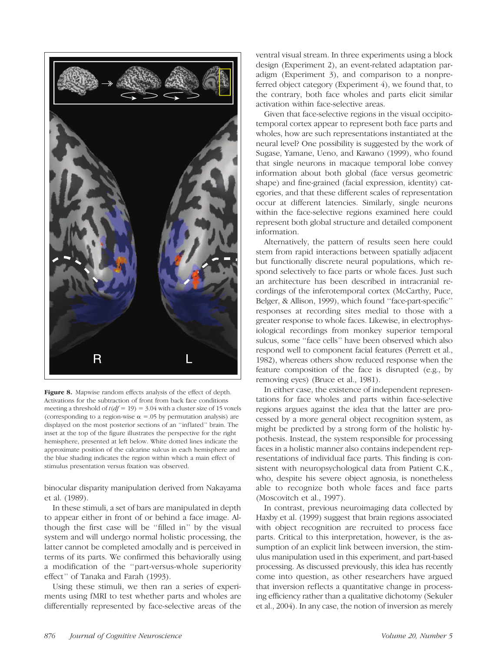

Figure 8. Mapwise random effects analysis of the effect of depth. Activations for the subtraction of front from back face conditions meeting a threshold of  $t(df = 19) = 3.04$  with a cluster size of 15 voxels (corresponding to a region-wise  $\alpha$  =.05 by permutation analysis) are displayed on the most posterior sections of an ''inflated'' brain. The inset at the top of the figure illustrates the perspective for the right hemisphere, presented at left below. White dotted lines indicate the approximate position of the calcarine sulcus in each hemisphere and the blue shading indicates the region within which a main effect of stimulus presentation versus fixation was observed.

binocular disparity manipulation derived from Nakayama et al. (1989).

In these stimuli, a set of bars are manipulated in depth to appear either in front of or behind a face image. Although the first case will be ''filled in'' by the visual system and will undergo normal holistic processing, the latter cannot be completed amodally and is perceived in terms of its parts. We confirmed this behaviorally using a modification of the ''part-versus-whole superiority effect'' of Tanaka and Farah (1993).

Using these stimuli, we then ran a series of experiments using fMRI to test whether parts and wholes are differentially represented by face-selective areas of the

ventral visual stream. In three experiments using a block design (Experiment 2), an event-related adaptation paradigm (Experiment 3), and comparison to a nonpreferred object category (Experiment 4), we found that, to the contrary, both face wholes and parts elicit similar activation within face-selective areas.

Given that face-selective regions in the visual occipitotemporal cortex appear to represent both face parts and wholes, how are such representations instantiated at the neural level? One possibility is suggested by the work of Sugase, Yamane, Ueno, and Kawano (1999), who found that single neurons in macaque temporal lobe convey information about both global (face versus geometric shape) and fine-grained (facial expression, identity) categories, and that these different scales of representation occur at different latencies. Similarly, single neurons within the face-selective regions examined here could represent both global structure and detailed component information.

Alternatively, the pattern of results seen here could stem from rapid interactions between spatially adjacent but functionally discrete neural populations, which respond selectively to face parts or whole faces. Just such an architecture has been described in intracranial recordings of the inferotemporal cortex (McCarthy, Puce, Belger, & Allison, 1999), which found ''face-part-specific'' responses at recording sites medial to those with a greater response to whole faces. Likewise, in electrophysiological recordings from monkey superior temporal sulcus, some "face cells" have been observed which also respond well to component facial features (Perrett et al., 1982), whereas others show reduced response when the feature composition of the face is disrupted (e.g., by removing eyes) (Bruce et al., 1981).

In either case, the existence of independent representations for face wholes and parts within face-selective regions argues against the idea that the latter are processed by a more general object recognition system, as might be predicted by a strong form of the holistic hypothesis. Instead, the system responsible for processing faces in a holistic manner also contains independent representations of individual face parts. This finding is consistent with neuropsychological data from Patient C.K., who, despite his severe object agnosia, is nonetheless able to recognize both whole faces and face parts (Moscovitch et al., 1997).

In contrast, previous neuroimaging data collected by Haxby et al. (1999) suggest that brain regions associated with object recognition are recruited to process face parts. Critical to this interpretation, however, is the assumption of an explicit link between inversion, the stimulus manipulation used in this experiment, and part-based processing. As discussed previously, this idea has recently come into question, as other researchers have argued that inversion reflects a quantitative change in processing efficiency rather than a qualitative dichotomy (Sekuler et al., 2004). In any case, the notion of inversion as merely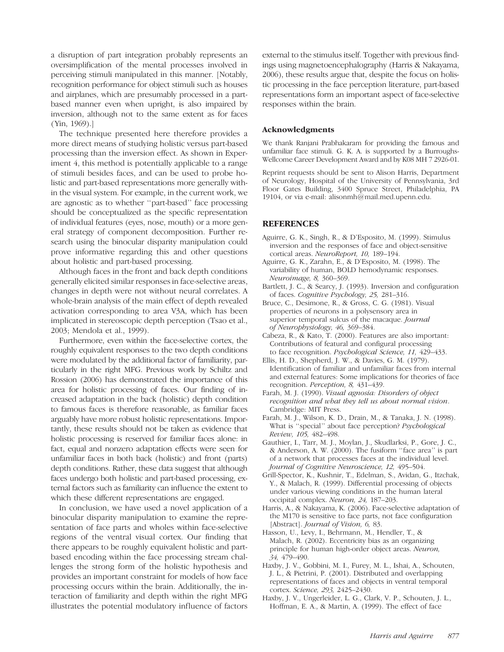a disruption of part integration probably represents an oversimplification of the mental processes involved in perceiving stimuli manipulated in this manner. [Notably, recognition performance for object stimuli such as houses and airplanes, which are presumably processed in a partbased manner even when upright, is also impaired by inversion, although not to the same extent as for faces (Yin, 1969).]

The technique presented here therefore provides a more direct means of studying holistic versus part-based processing than the inversion effect. As shown in Experiment 4, this method is potentially applicable to a range of stimuli besides faces, and can be used to probe holistic and part-based representations more generally within the visual system. For example, in the current work, we are agnostic as to whether ''part-based'' face processing should be conceptualized as the specific representation of individual features (eyes, nose, mouth) or a more general strategy of component decomposition. Further research using the binocular disparity manipulation could prove informative regarding this and other questions about holistic and part-based processing.

Although faces in the front and back depth conditions generally elicited similar responses in face-selective areas, changes in depth were not without neural correlates. A whole-brain analysis of the main effect of depth revealed activation corresponding to area V3A, which has been implicated in stereoscopic depth perception (Tsao et al., 2003; Mendola et al., 1999).

Furthermore, even within the face-selective cortex, the roughly equivalent responses to the two depth conditions were modulated by the additional factor of familiarity, particularly in the right MFG. Previous work by Schiltz and Rossion (2006) has demonstrated the importance of this area for holistic processing of faces. Our finding of increased adaptation in the back (holistic) depth condition to famous faces is therefore reasonable, as familiar faces arguably have more robust holistic representations. Importantly, these results should not be taken as evidence that holistic processing is reserved for familiar faces alone: in fact, equal and nonzero adaptation effects were seen for unfamiliar faces in both back (holistic) and front (parts) depth conditions. Rather, these data suggest that although faces undergo both holistic and part-based processing, external factors such as familiarity can influence the extent to which these different representations are engaged.

In conclusion, we have used a novel application of a binocular disparity manipulation to examine the representation of face parts and wholes within face-selective regions of the ventral visual cortex. Our finding that there appears to be roughly equivalent holistic and partbased encoding within the face processing stream challenges the strong form of the holistic hypothesis and provides an important constraint for models of how face processing occurs within the brain. Additionally, the interaction of familiarity and depth within the right MFG illustrates the potential modulatory influence of factors

external to the stimulus itself. Together with previous findings using magnetoencephalography (Harris & Nakayama, 2006), these results argue that, despite the focus on holistic processing in the face perception literature, part-based representations form an important aspect of face-selective responses within the brain.

#### Acknowledgments

We thank Ranjani Prabhakaram for providing the famous and unfamiliar face stimuli. G. K. A. is supported by a Burroughs-Wellcome Career Development Award and by K08 MH 7 2926-01.

Reprint requests should be sent to Alison Harris, Department of Neurology, Hospital of the University of Pennsylvania, 3rd Floor Gates Building, 3400 Spruce Street, Philadelphia, PA 19104, or via e-mail: alisonmh@mail.med.upenn.edu.

#### **REFERENCES**

- Aguirre, G. K., Singh, R., & D'Esposito, M. (1999). Stimulus inversion and the responses of face and object-sensitive cortical areas. NeuroReport, 10, 189–194.
- Aguirre, G. K., Zarahn, E., & D'Esposito, M. (1998). The variability of human, BOLD hemodynamic responses. Neuroimage, 8, 360–369.
- Bartlett, J. C., & Searcy, J. (1993). Inversion and configuration of faces. Cognitive Psychology, 25, 281–316.
- Bruce, C., Desimone, R., & Gross, C. G. (1981). Visual properties of neurons in a polysensory area in superior temporal sulcus of the macaque. Journal of Neurophysiology, 46, 369–384.
- Cabeza, R., & Kato, T. (2000). Features are also important: Contributions of featural and configural processing to face recognition. Psychological Science, 11, 429–433.
- Ellis, H. D., Shepherd, J. W., & Davies, G. M. (1979). Identification of familiar and unfamiliar faces from internal and external features: Some implications for theories of face recognition. Perception, 8, 431–439.
- Farah, M. J. (1990). Visual agnosia: Disorders of object recognition and what they tell us about normal vision. Cambridge: MIT Press.
- Farah, M. J., Wilson, K. D., Drain, M., & Tanaka, J. N. (1998). What is "special" about face perception? Psychological Review, 105, 482–498.
- Gauthier, I., Tarr, M. J., Moylan, J., Skudlarksi, P., Gore, J. C., & Anderson, A. W. (2000). The fusiform ''face area'' is part of a network that processes faces at the individual level. Journal of Cognitive Neuroscience, 12, 495–504.
- Grill-Spector, K., Kushnir, T., Edelman, S., Avidan, G., Itzchak, Y., & Malach, R. (1999). Differential processing of objects under various viewing conditions in the human lateral occipital complex. Neuron, 24, 187–203.
- Harris, A., & Nakayama, K. (2006). Face-selective adaptation of the M170 is sensitive to face parts, not face configuration [Abstract]. *Journal of Vision*, 6, 83.
- Hasson, U., Levy, I., Behrmann, M., Hendler, T., & Malach, R. (2002). Eccentricity bias as an organizing principle for human high-order object areas. Neuron, 34, 479–490.
- Haxby, J. V., Gobbini, M. I., Furey, M. L., Ishai, A., Schouten, J. L., & Pietrini, P. (2001). Distributed and overlapping representations of faces and objects in ventral temporal cortex. Science, 293, 2425–2430.
- Haxby, J. V., Ungerleider, L. G., Clark, V. P., Schouten, J. L., Hoffman, E. A., & Martin, A. (1999). The effect of face